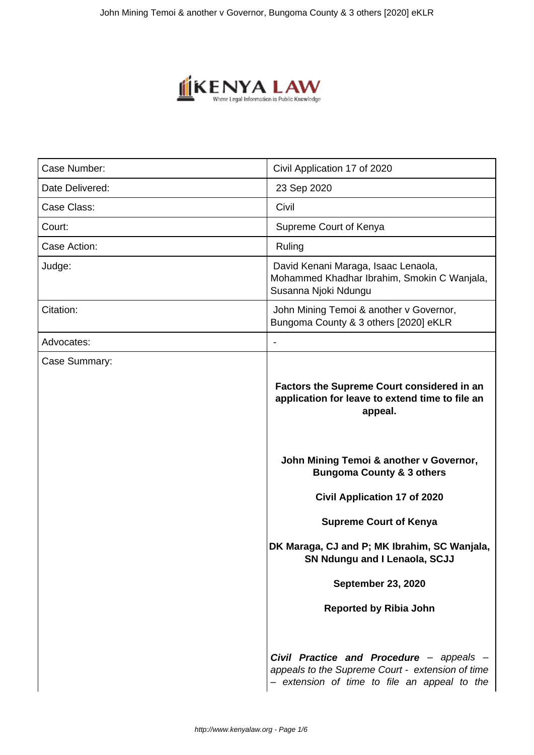

| Case Number:    | Civil Application 17 of 2020                                                                                                                 |  |
|-----------------|----------------------------------------------------------------------------------------------------------------------------------------------|--|
| Date Delivered: | 23 Sep 2020                                                                                                                                  |  |
| Case Class:     | Civil                                                                                                                                        |  |
| Court:          | Supreme Court of Kenya                                                                                                                       |  |
| Case Action:    | Ruling                                                                                                                                       |  |
| Judge:          | David Kenani Maraga, Isaac Lenaola,<br>Mohammed Khadhar Ibrahim, Smokin C Wanjala,<br>Susanna Njoki Ndungu                                   |  |
| Citation:       | John Mining Temoi & another v Governor,<br>Bungoma County & 3 others [2020] eKLR                                                             |  |
| Advocates:      |                                                                                                                                              |  |
| Case Summary:   | <b>Factors the Supreme Court considered in an</b><br>application for leave to extend time to file an<br>appeal.                              |  |
|                 | John Mining Temoi & another v Governor,<br><b>Bungoma County &amp; 3 others</b>                                                              |  |
|                 | <b>Civil Application 17 of 2020</b>                                                                                                          |  |
|                 | <b>Supreme Court of Kenya</b>                                                                                                                |  |
|                 | DK Maraga, CJ and P; MK Ibrahim, SC Wanjala,<br>SN Ndungu and I Lenaola, SCJJ                                                                |  |
|                 | <b>September 23, 2020</b>                                                                                                                    |  |
|                 | <b>Reported by Ribia John</b>                                                                                                                |  |
|                 | Civil Practice and Procedure - appeals -<br>appeals to the Supreme Court - extension of time<br>- extension of time to file an appeal to the |  |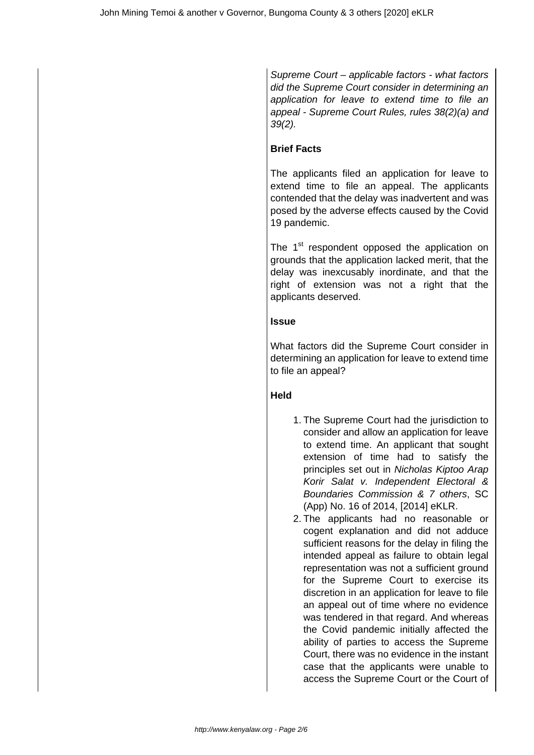Supreme Court – applicable factors - what factors did the Supreme Court consider in determining an application for leave to extend time to file an appeal - Supreme Court Rules, rules 38(2)(a) and 39(2).

## **Brief Facts**

The applicants filed an application for leave to extend time to file an appeal. The applicants contended that the delay was inadvertent and was posed by the adverse effects caused by the Covid 19 pandemic.

The 1<sup>st</sup> respondent opposed the application on grounds that the application lacked merit, that the delay was inexcusably inordinate, and that the right of extension was not a right that the applicants deserved.

### **Issue**

What factors did the Supreme Court consider in determining an application for leave to extend time to file an appeal?

## **Held**

- 1. The Supreme Court had the jurisdiction to consider and allow an application for leave to extend time. An applicant that sought extension of time had to satisfy the principles set out in Nicholas Kiptoo Arap Korir Salat v. Independent Electoral & Boundaries Commission & 7 others, SC (App) No. 16 of 2014, [2014] eKLR.
- 2. The applicants had no reasonable or cogent explanation and did not adduce sufficient reasons for the delay in filing the intended appeal as failure to obtain legal representation was not a sufficient ground for the Supreme Court to exercise its discretion in an application for leave to file an appeal out of time where no evidence was tendered in that regard. And whereas the Covid pandemic initially affected the ability of parties to access the Supreme Court, there was no evidence in the instant case that the applicants were unable to access the Supreme Court or the Court of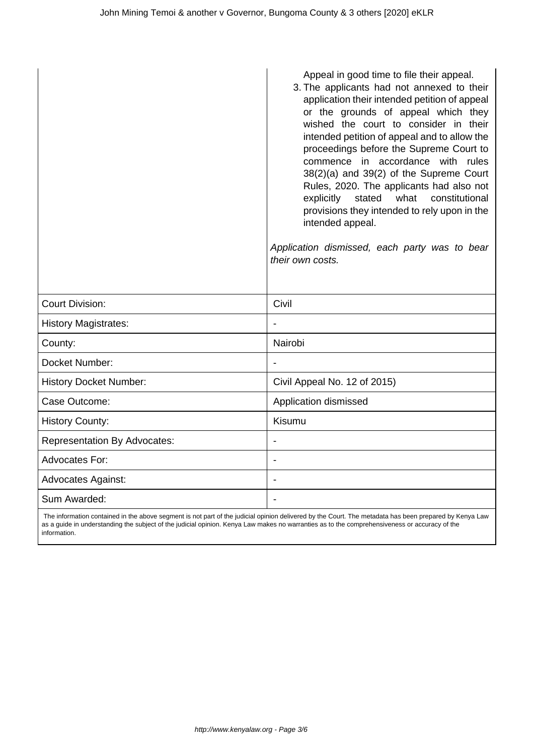|                                     | Appeal in good time to file their appeal.<br>3. The applicants had not annexed to their<br>application their intended petition of appeal<br>or the grounds of appeal which they<br>wished the court to consider in their<br>intended petition of appeal and to allow the<br>proceedings before the Supreme Court to<br>commence in accordance with rules<br>38(2)(a) and 39(2) of the Supreme Court<br>Rules, 2020. The applicants had also not<br>stated<br>what<br>constitutional<br>explicitly<br>provisions they intended to rely upon in the<br>intended appeal.<br>Application dismissed, each party was to bear<br>their own costs. |  |
|-------------------------------------|--------------------------------------------------------------------------------------------------------------------------------------------------------------------------------------------------------------------------------------------------------------------------------------------------------------------------------------------------------------------------------------------------------------------------------------------------------------------------------------------------------------------------------------------------------------------------------------------------------------------------------------------|--|
| <b>Court Division:</b>              | Civil                                                                                                                                                                                                                                                                                                                                                                                                                                                                                                                                                                                                                                      |  |
| <b>History Magistrates:</b>         |                                                                                                                                                                                                                                                                                                                                                                                                                                                                                                                                                                                                                                            |  |
| County:                             | Nairobi                                                                                                                                                                                                                                                                                                                                                                                                                                                                                                                                                                                                                                    |  |
| Docket Number:                      |                                                                                                                                                                                                                                                                                                                                                                                                                                                                                                                                                                                                                                            |  |
| <b>History Docket Number:</b>       | Civil Appeal No. 12 of 2015)                                                                                                                                                                                                                                                                                                                                                                                                                                                                                                                                                                                                               |  |
| Case Outcome:                       | Application dismissed                                                                                                                                                                                                                                                                                                                                                                                                                                                                                                                                                                                                                      |  |
| <b>History County:</b>              | Kisumu                                                                                                                                                                                                                                                                                                                                                                                                                                                                                                                                                                                                                                     |  |
| <b>Representation By Advocates:</b> | $\overline{\phantom{a}}$                                                                                                                                                                                                                                                                                                                                                                                                                                                                                                                                                                                                                   |  |
| Advocates For:                      | $\blacksquare$                                                                                                                                                                                                                                                                                                                                                                                                                                                                                                                                                                                                                             |  |
| <b>Advocates Against:</b>           |                                                                                                                                                                                                                                                                                                                                                                                                                                                                                                                                                                                                                                            |  |
| Sum Awarded:                        |                                                                                                                                                                                                                                                                                                                                                                                                                                                                                                                                                                                                                                            |  |

 The information contained in the above segment is not part of the judicial opinion delivered by the Court. The metadata has been prepared by Kenya Law as a guide in understanding the subject of the judicial opinion. Kenya Law makes no warranties as to the comprehensiveness or accuracy of the information.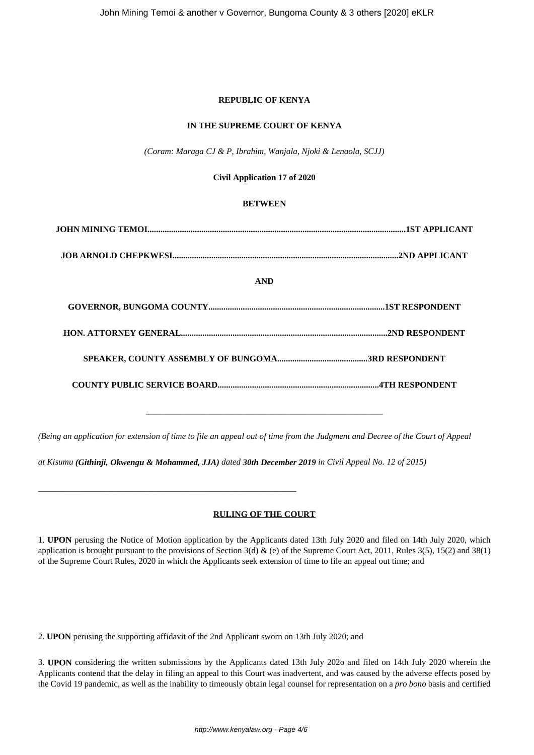#### **REPUBLIC OF KENYA**

#### **IN THE SUPREME COURT OF KENYA**

*(Coram: Maraga CJ & P, Ibrahim, Wanjala, Njoki & Lenaola, SCJJ)*

#### **Civil Application 17 of 2020**

#### **BETWEEN**

| <b>AND</b> |  |
|------------|--|
|            |  |
|            |  |
|            |  |
|            |  |
|            |  |

*(Being an application for extension of time to file an appeal out of time from the Judgment and Decree of the Court of Appeal* 

*at Kisumu (Githinji, Okwengu & Mohammed, JJA) dated 30th December 2019 in Civil Appeal No. 12 of 2015)*

#### **RULING OF THE COURT**

1. **UPON** perusing the Notice of Motion application by the Applicants dated 13th July 2020 and filed on 14th July 2020, which application is brought pursuant to the provisions of Section 3(d) & (e) of the Supreme Court Act, 2011, Rules 3(5), 15(2) and 38(1) of the Supreme Court Rules, 2020 in which the Applicants seek extension of time to file an appeal out time; and

2. **UPON** perusing the supporting affidavit of the 2nd Applicant sworn on 13th July 2020; and

*\_\_\_\_\_\_\_\_\_\_\_\_\_\_\_\_\_\_\_\_\_\_\_\_\_\_\_\_\_\_\_\_\_\_\_\_\_\_\_\_\_\_\_\_\_\_\_\_\_\_\_\_\_\_\_\_\_\_\_\_*

3. **UPON** considering the written submissions by the Applicants dated 13th July 202o and filed on 14th July 2020 wherein the Applicants contend that the delay in filing an appeal to this Court was inadvertent, and was caused by the adverse effects posed by the Covid 19 pandemic, as well as the inability to timeously obtain legal counsel for representation on a *pro bono* basis and certified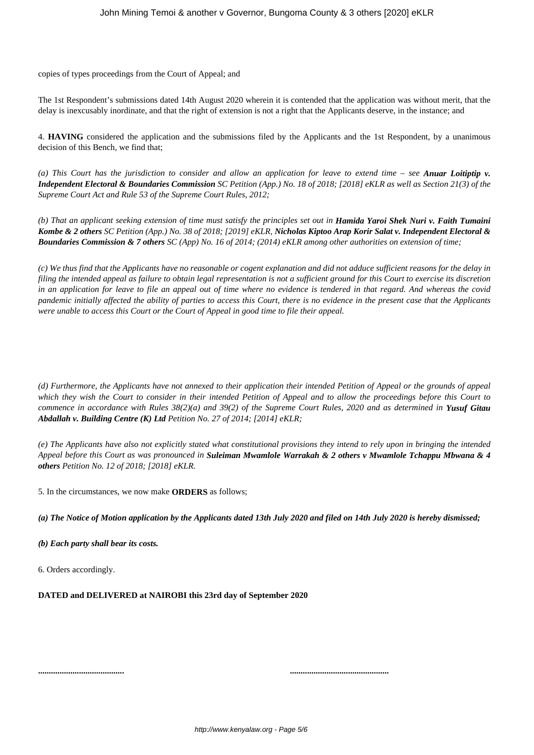copies of types proceedings from the Court of Appeal; and

The 1st Respondent's submissions dated 14th August 2020 wherein it is contended that the application was without merit, that the delay is inexcusably inordinate, and that the right of extension is not a right that the Applicants deserve, in the instance; and

4. **HAVING** considered the application and the submissions filed by the Applicants and the 1st Respondent, by a unanimous decision of this Bench, we find that;

*(a) This Court has the jurisdiction to consider and allow an application for leave to extend time – see Anuar Loitiptip v. Independent Electoral & Boundaries Commission SC Petition (App.) No. 18 of 2018; [2018] eKLR as well as Section 21(3) of the Supreme Court Act and Rule 53 of the Supreme Court Rules, 2012;*

*(b) That an applicant seeking extension of time must satisfy the principles set out in Hamida Yaroi Shek Nuri v. Faith Tumaini Kombe & 2 others SC Petition (App.) No. 38 of 2018; [2019] eKLR, Nicholas Kiptoo Arap Korir Salat v. Independent Electoral & Boundaries Commission & 7 others SC (App) No. 16 of 2014; (2014) eKLR among other authorities on extension of time;*

*(c) We thus find that the Applicants have no reasonable or cogent explanation and did not adduce sufficient reasons for the delay in filing the intended appeal as failure to obtain legal representation is not a sufficient ground for this Court to exercise its discretion in an application for leave to file an appeal out of time where no evidence is tendered in that regard. And whereas the covid pandemic initially affected the ability of parties to access this Court, there is no evidence in the present case that the Applicants were unable to access this Court or the Court of Appeal in good time to file their appeal.*

*(d) Furthermore, the Applicants have not annexed to their application their intended Petition of Appeal or the grounds of appeal which they wish the Court to consider in their intended Petition of Appeal and to allow the proceedings before this Court to commence in accordance with Rules 38(2)(a) and 39(2) of the Supreme Court Rules, 2020 and as determined in Yusuf Gitau Abdallah v. Building Centre (K) Ltd Petition No. 27 of 2014; [2014] eKLR;*

*(e) The Applicants have also not explicitly stated what constitutional provisions they intend to rely upon in bringing the intended Appeal before this Court as was pronounced in Suleiman Mwamlole Warrakah & 2 others v Mwamlole Tchappu Mbwana & 4 others Petition No. 12 of 2018; [2018] eKLR.*

5. In the circumstances, we now make **ORDERS** as follows;

*(a) The Notice of Motion application by the Applicants dated 13th July 2020 and filed on 14th July 2020 is hereby dismissed;*

*(b) Each party shall bear its costs.*

6. Orders accordingly.

**DATED and DELIVERED at NAIROBI this 23rd day of September 2020**

**........................................ ..............................................**